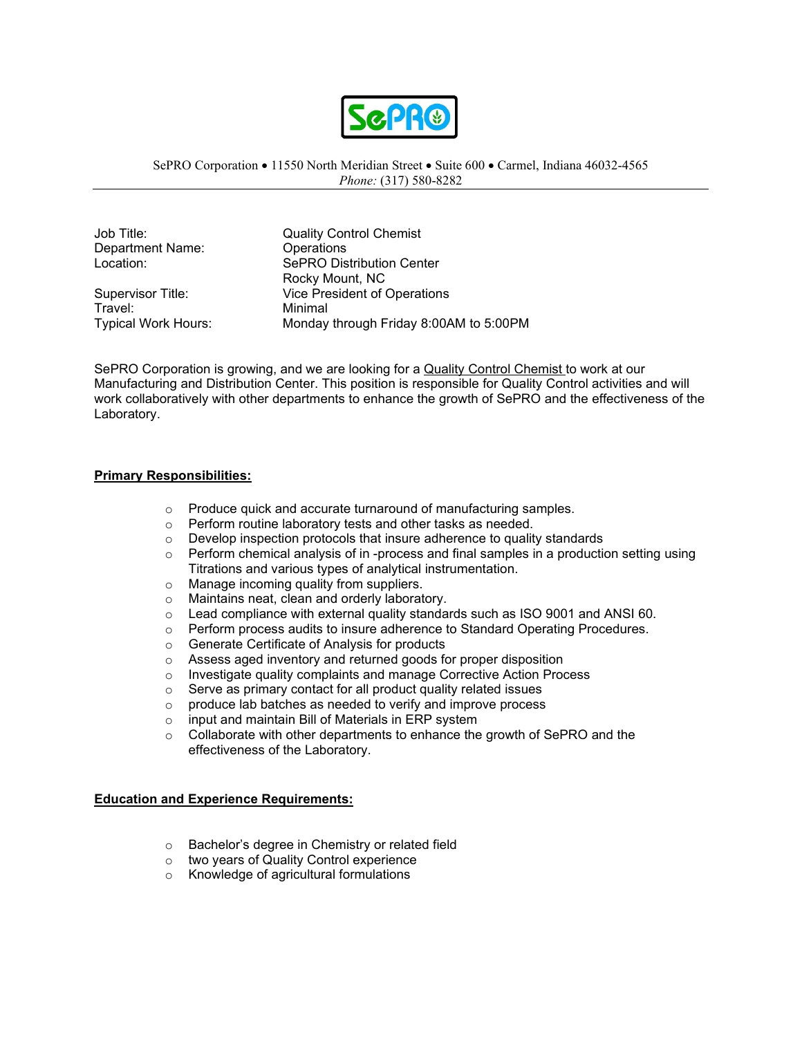

### SePRO Corporation • 11550 North Meridian Street • Suite 600 • Carmel, Indiana 46032-4565 *Phone:* (317) 580-8282

Department Name: Operations

Travel: Minimal<br>Typical Work Hours: Monday

Job Title: Quality Control Chemist Location: SePRO Distribution Center Rocky Mount, NC Supervisor Title: Vice President of Operations Monday through Friday 8:00AM to 5:00PM

SePRO Corporation is growing, and we are looking for a Quality Control Chemist to work at our Manufacturing and Distribution Center. This position is responsible for Quality Control activities and will work collaboratively with other departments to enhance the growth of SePRO and the effectiveness of the Laboratory.

### **Primary Responsibilities:**

- o Produce quick and accurate turnaround of manufacturing samples.
- o Perform routine laboratory tests and other tasks as needed.
- o Develop inspection protocols that insure adherence to quality standards
- o Perform chemical analysis of in -process and final samples in a production setting using Titrations and various types of analytical instrumentation.
- o Manage incoming quality from suppliers.<br>
o Maintains neat, clean and orderly laborat
- Maintains neat, clean and orderly laboratory.
- $\circ$  Lead compliance with external quality standards such as ISO 9001 and ANSI 60.<br> $\circ$  Perform process audits to insure adherence to Standard Operating Procedures.
- Perform process audits to insure adherence to Standard Operating Procedures.
- o Generate Certificate of Analysis for products
- $\circ$  Assess aged inventory and returned goods for proper disposition<br> $\circ$  Investigate quality complaints and manage Corrective Action Proq
- $\circ$  Investigate quality complaints and manage Corrective Action Process  $\circ$  Serve as primary contact for all product quality related issues
- Serve as primary contact for all product quality related issues
- $\circ$  produce lab batches as needed to verify and improve process  $\circ$  input and maintain Bill of Materials in ERP system
- input and maintain Bill of Materials in ERP system
- o Collaborate with other departments to enhance the growth of SePRO and the effectiveness of the Laboratory.

# **Education and Experience Requirements:**

- o Bachelor's degree in Chemistry or related field
- o two years of Quality Control experience
- o Knowledge of agricultural formulations